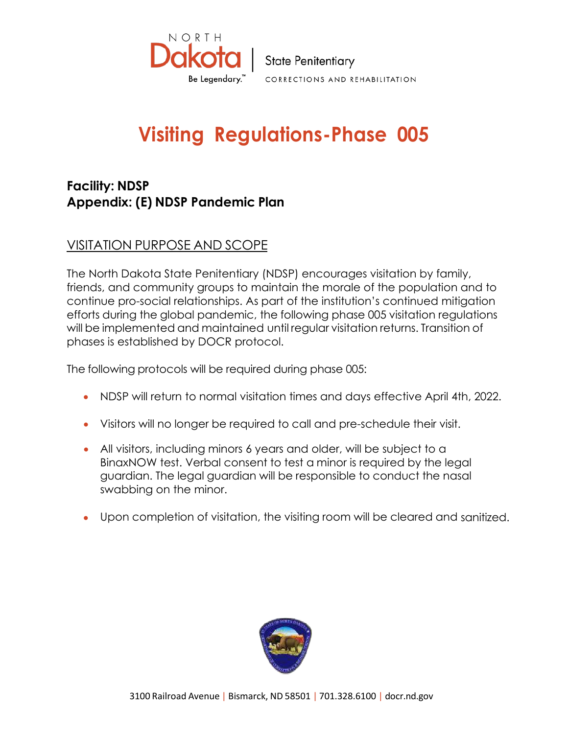

## **Visiting Regulations-Phase 005**

## **Facility: NDSP Appendix: (E) NDSP Pandemic Plan**

## VISITATION PURPOSE AND SCOPE

The North Dakota State Penitentiary (NDSP) encourages visitation by family, friends, and community groups to maintain the morale of the population and to continue pro-social relationships. As part of the institution's continued mitigation efforts during the global pandemic, the following phase 005 visitation regulations will be implemented and maintained until regular visitation returns. Transition of phases is established by DOCR protocol.

The following protocols will be required during phase 005:

- NDSP will return to normal visitation times and days effective April 4th, 2022.
- Visitors will no longer be required to call and pre-schedule their visit.
- All visitors, including minors 6 years and older, will be subject to a BinaxNOW test. Verbal consent to test a minor is required by the legal guardian. The legal guardian will be responsible to conduct the nasal swabbing on the minor.
- Upon completion of visitation, the visiting room will be cleared and sanitized.